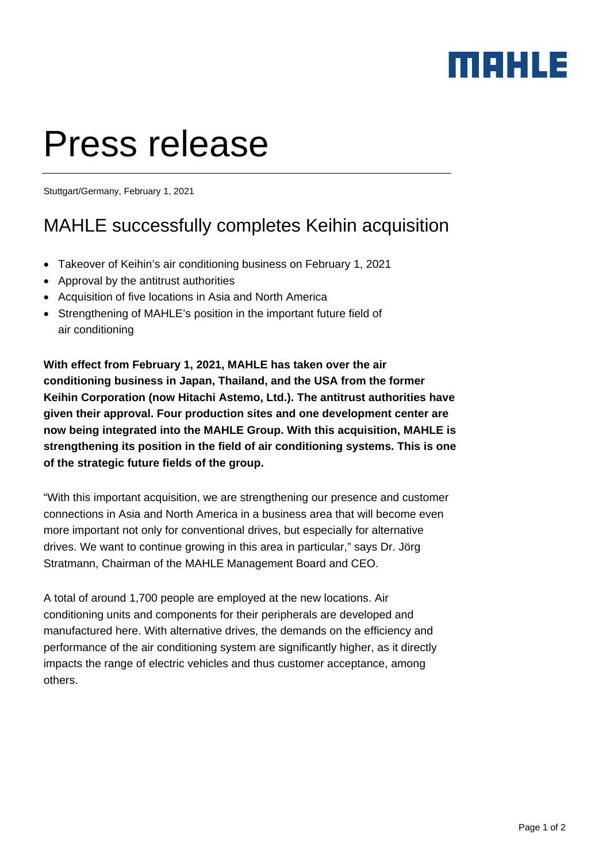## mence

# Press release

Stuttgart/Germany, February 1, 2021

### MAHLE successfully completes Keihin acquisition

- Takeover of Keihin's air conditioning business on February 1, 2021
- Approval by the antitrust authorities
- Acquisition of five locations in Asia and North America
- Strengthening of MAHLE's position in the important future field of air conditioning

**With effect from February 1, 2021, MAHLE has taken over the air conditioning business in Japan, Thailand, and the USA from the former Keihin Corporation (now Hitachi Astemo, Ltd.). The antitrust authorities have given their approval. Four production sites and one development center are now being integrated into the MAHLE Group. With this acquisition, MAHLE is strengthening its position in the field of air conditioning systems. This is one of the strategic future fields of the group.** 

"With this important acquisition, we are strengthening our presence and customer connections in Asia and North America in a business area that will become even more important not only for conventional drives, but especially for alternative drives. We want to continue growing in this area in particular," says Dr. Jörg Stratmann, Chairman of the MAHLE Management Board and CEO.

A total of around 1,700 people are employed at the new locations. Air conditioning units and components for their peripherals are developed and manufactured here. With alternative drives, the demands on the efficiency and performance of the air conditioning system are significantly higher, as it directly impacts the range of electric vehicles and thus customer acceptance, among others.